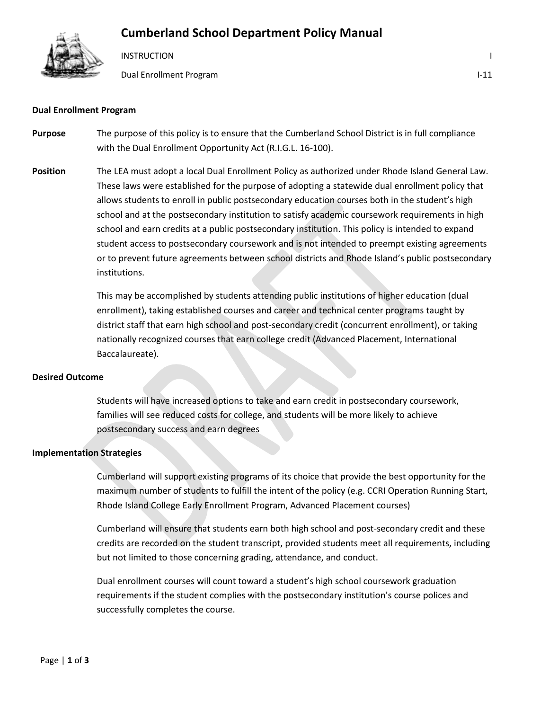## **Cumberland School Department Policy Manual**



**INSTRUCTION** 

Dual Enrollment Program I-11

#### **Dual Enrollment Program**

- **Purpose** The purpose of this policy is to ensure that the Cumberland School District is in full compliance with the Dual Enrollment Opportunity Act (R.I.G.L. 16-100).
- **Position** The LEA must adopt a local Dual Enrollment Policy as authorized under Rhode Island General Law. These laws were established for the purpose of adopting a statewide dual enrollment policy that allows students to enroll in public postsecondary education courses both in the student's high school and at the postsecondary institution to satisfy academic coursework requirements in high school and earn credits at a public postsecondary institution. This policy is intended to expand student access to postsecondary coursework and is not intended to preempt existing agreements or to prevent future agreements between school districts and Rhode Island's public postsecondary institutions.

This may be accomplished by students attending public institutions of higher education (dual enrollment), taking established courses and career and technical center programs taught by district staff that earn high school and post-secondary credit (concurrent enrollment), or taking nationally recognized courses that earn college credit (Advanced Placement, International Baccalaureate).

### **Desired Outcome**

Students will have increased options to take and earn credit in postsecondary coursework, families will see reduced costs for college, and students will be more likely to achieve postsecondary success and earn degrees

#### **Implementation Strategies**

Cumberland will support existing programs of its choice that provide the best opportunity for the maximum number of students to fulfill the intent of the policy (e.g. CCRI Operation Running Start, Rhode Island College Early Enrollment Program, Advanced Placement courses)

Cumberland will ensure that students earn both high school and post-secondary credit and these credits are recorded on the student transcript, provided students meet all requirements, including but not limited to those concerning grading, attendance, and conduct.

Dual enrollment courses will count toward a student's high school coursework graduation requirements if the student complies with the postsecondary institution's course polices and successfully completes the course.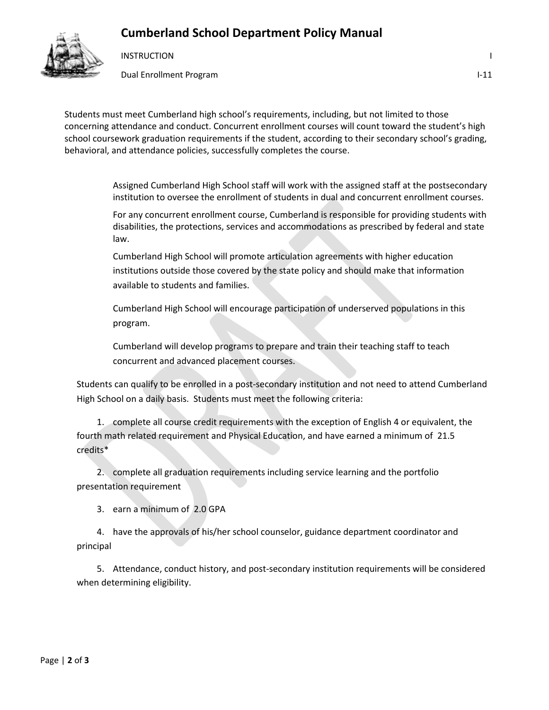## **Cumberland School Department Policy Manual**



**INSTRUCTION** 

Dual Enrollment Program I-11

Students must meet Cumberland high school's requirements, including, but not limited to those concerning attendance and conduct. Concurrent enrollment courses will count toward the student's high school coursework graduation requirements if the student, according to their secondary school's grading, behavioral, and attendance policies, successfully completes the course.

> Assigned Cumberland High School staff will work with the assigned staff at the postsecondary institution to oversee the enrollment of students in dual and concurrent enrollment courses.

> For any concurrent enrollment course, Cumberland is responsible for providing students with disabilities, the protections, services and accommodations as prescribed by federal and state law.

Cumberland High School will promote articulation agreements with higher education institutions outside those covered by the state policy and should make that information available to students and families.

Cumberland High School will encourage participation of underserved populations in this program.

Cumberland will develop programs to prepare and train their teaching staff to teach concurrent and advanced placement courses.

Students can qualify to be enrolled in a post-secondary institution and not need to attend Cumberland High School on a daily basis. Students must meet the following criteria:

1. complete all course credit requirements with the exception of English 4 or equivalent, the fourth math related requirement and Physical Education, and have earned a minimum of 21.5 credits\*

2. complete all graduation requirements including service learning and the portfolio presentation requirement

3. earn a minimum of 2.0 GPA

4. have the approvals of his/her school counselor, guidance department coordinator and principal

5. Attendance, conduct history, and post-secondary institution requirements will be considered when determining eligibility.